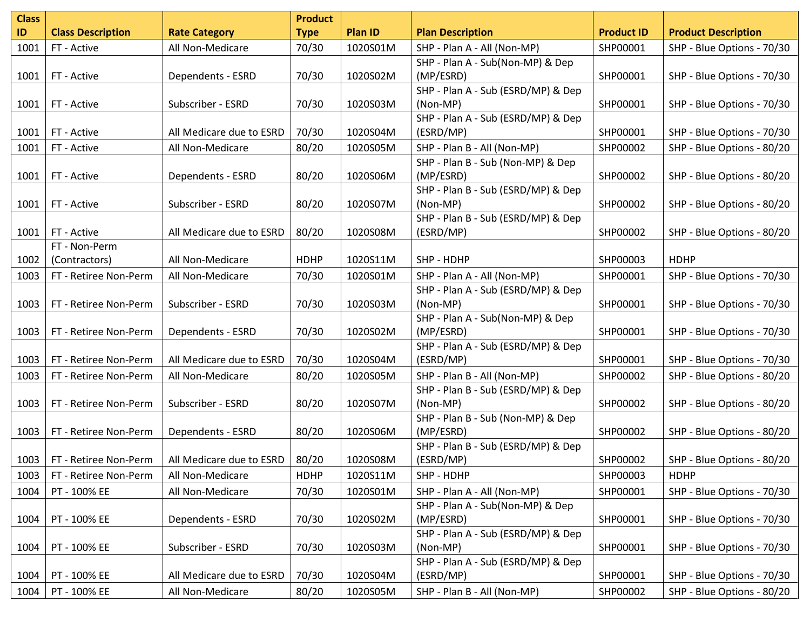| <b>Class</b> |                          |                          | <b>Product</b> |          |                                                 |                   |                            |
|--------------|--------------------------|--------------------------|----------------|----------|-------------------------------------------------|-------------------|----------------------------|
| ID           | <b>Class Description</b> | <b>Rate Category</b>     | <b>Type</b>    | Plan ID  | <b>Plan Description</b>                         | <b>Product ID</b> | <b>Product Description</b> |
| 1001         | FT - Active              | All Non-Medicare         | 70/30          | 1020S01M | SHP - Plan A - All (Non-MP)                     | SHP00001          | SHP - Blue Options - 70/30 |
|              |                          |                          |                |          | SHP - Plan A - Sub(Non-MP) & Dep                |                   |                            |
| 1001         | FT - Active              | Dependents - ESRD        | 70/30          | 1020S02M | (MP/ESRD)                                       | SHP00001          | SHP - Blue Options - 70/30 |
|              |                          |                          |                |          | SHP - Plan A - Sub (ESRD/MP) & Dep              |                   |                            |
| 1001         | FT - Active              | Subscriber - ESRD        | 70/30          | 1020S03M | (Non-MP)                                        | SHP00001          | SHP - Blue Options - 70/30 |
|              |                          |                          |                |          | SHP - Plan A - Sub (ESRD/MP) & Dep              |                   |                            |
| 1001         | FT - Active              | All Medicare due to ESRD | 70/30          | 1020S04M | (ESRD/MP)                                       | SHP00001          | SHP - Blue Options - 70/30 |
| 1001         | FT - Active              | All Non-Medicare         | 80/20          | 1020S05M | SHP - Plan B - All (Non-MP)                     | SHP00002          | SHP - Blue Options - 80/20 |
|              |                          |                          |                |          | SHP - Plan B - Sub (Non-MP) & Dep               |                   |                            |
| 1001         | FT - Active              | Dependents - ESRD        | 80/20          | 1020S06M | (MP/ESRD)                                       | SHP00002          | SHP - Blue Options - 80/20 |
|              |                          |                          |                |          | SHP - Plan B - Sub (ESRD/MP) & Dep              |                   |                            |
| 1001         | FT - Active              | Subscriber - ESRD        | 80/20          | 1020S07M | (Non-MP)                                        | SHP00002          | SHP - Blue Options - 80/20 |
|              |                          |                          |                |          | SHP - Plan B - Sub (ESRD/MP) & Dep              |                   |                            |
| 1001         | FT - Active              | All Medicare due to ESRD | 80/20          | 1020S08M | (ESRD/MP)                                       | SHP00002          | SHP - Blue Options - 80/20 |
|              | FT - Non-Perm            |                          |                |          |                                                 |                   |                            |
| 1002         | (Contractors)            | All Non-Medicare         | <b>HDHP</b>    | 1020S11M | SHP - HDHP                                      | SHP00003          | <b>HDHP</b>                |
| 1003         | FT - Retiree Non-Perm    | All Non-Medicare         | 70/30          | 1020S01M | SHP - Plan A - All (Non-MP)                     | SHP00001          | SHP - Blue Options - 70/30 |
|              |                          |                          |                |          | SHP - Plan A - Sub (ESRD/MP) & Dep              |                   |                            |
| 1003         | FT - Retiree Non-Perm    | Subscriber - ESRD        | 70/30          | 1020S03M | (Non-MP)                                        | SHP00001          | SHP - Blue Options - 70/30 |
|              |                          |                          |                |          | SHP - Plan A - Sub(Non-MP) & Dep                |                   |                            |
| 1003         | FT - Retiree Non-Perm    | Dependents - ESRD        | 70/30          | 1020S02M | (MP/ESRD)                                       | SHP00001          | SHP - Blue Options - 70/30 |
|              |                          |                          |                |          | SHP - Plan A - Sub (ESRD/MP) & Dep              |                   |                            |
| 1003         | FT - Retiree Non-Perm    | All Medicare due to ESRD | 70/30          | 1020S04M | (ESRD/MP)                                       | SHP00001          | SHP - Blue Options - 70/30 |
| 1003         | FT - Retiree Non-Perm    | All Non-Medicare         | 80/20          | 1020S05M | SHP - Plan B - All (Non-MP)                     | SHP00002          | SHP - Blue Options - 80/20 |
|              |                          |                          |                |          | SHP - Plan B - Sub (ESRD/MP) & Dep              |                   |                            |
| 1003         | FT - Retiree Non-Perm    | Subscriber - ESRD        | 80/20          | 1020S07M | (Non-MP)                                        | SHP00002          | SHP - Blue Options - 80/20 |
|              |                          |                          |                |          | SHP - Plan B - Sub (Non-MP) & Dep               |                   |                            |
| 1003         | FT - Retiree Non-Perm    | Dependents - ESRD        | 80/20          | 1020S06M | (MP/ESRD)                                       | SHP00002          | SHP - Blue Options - 80/20 |
| 1003         | FT - Retiree Non-Perm    | All Medicare due to ESRD | 80/20          | 1020S08M | SHP - Plan B - Sub (ESRD/MP) & Dep<br>(ESRD/MP) | SHP00002          | SHP - Blue Options - 80/20 |
| 1003         | FT - Retiree Non-Perm    | All Non-Medicare         | <b>HDHP</b>    | 1020S11M | SHP - HDHP                                      | SHP00003          | <b>HDHP</b>                |
| 1004         | PT - 100% EE             | All Non-Medicare         | 70/30          | 1020S01M | SHP - Plan A - All (Non-MP)                     | SHP00001          | SHP - Blue Options - 70/30 |
|              |                          |                          |                |          | SHP - Plan A - Sub(Non-MP) & Dep                |                   |                            |
| 1004         | PT - 100% EE             | Dependents - ESRD        | 70/30          | 1020S02M | (MP/ESRD)                                       | SHP00001          | SHP - Blue Options - 70/30 |
|              |                          |                          |                |          | SHP - Plan A - Sub (ESRD/MP) & Dep              |                   |                            |
| 1004         | PT - 100% EE             | Subscriber - ESRD        | 70/30          | 1020S03M | (Non-MP)                                        | SHP00001          | SHP - Blue Options - 70/30 |
|              |                          |                          |                |          | SHP - Plan A - Sub (ESRD/MP) & Dep              |                   |                            |
| 1004         | PT - 100% EE             | All Medicare due to ESRD | 70/30          | 1020S04M | (ESRD/MP)                                       | SHP00001          | SHP - Blue Options - 70/30 |
| 1004         | PT - 100% EE             | All Non-Medicare         | 80/20          | 1020S05M | SHP - Plan B - All (Non-MP)                     | SHP00002          | SHP - Blue Options - 80/20 |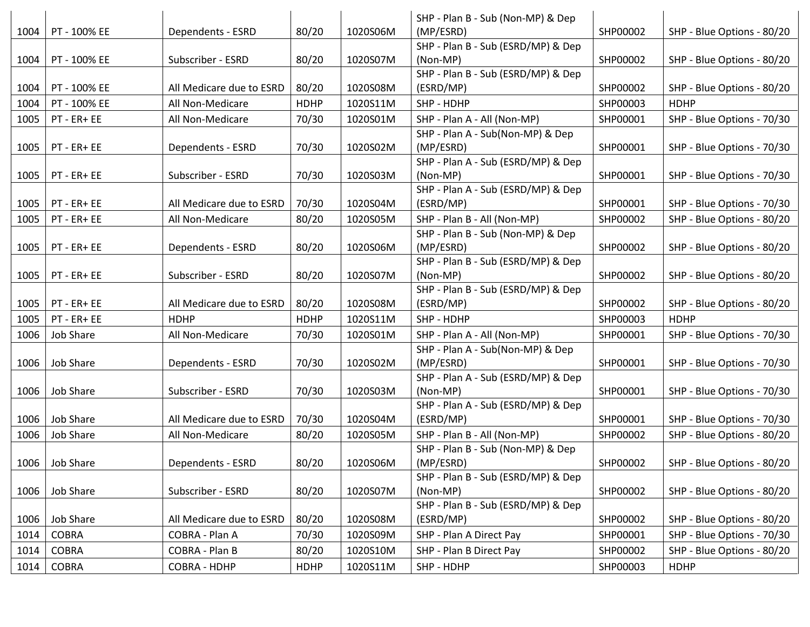|      |                |                          |             |          | SHP - Plan B - Sub (Non-MP) & Dep               |          |                            |
|------|----------------|--------------------------|-------------|----------|-------------------------------------------------|----------|----------------------------|
| 1004 | PT - 100% EE   | Dependents - ESRD        | 80/20       | 1020S06M | (MP/ESRD)                                       | SHP00002 | SHP - Blue Options - 80/20 |
|      |                |                          |             |          | SHP - Plan B - Sub (ESRD/MP) & Dep              |          |                            |
| 1004 | PT - 100% EE   | Subscriber - ESRD        | 80/20       | 1020S07M | (Non-MP)                                        | SHP00002 | SHP - Blue Options - 80/20 |
|      |                |                          |             |          | SHP - Plan B - Sub (ESRD/MP) & Dep              |          |                            |
| 1004 | PT - 100% EE   | All Medicare due to ESRD | 80/20       | 1020S08M | (ESRD/MP)                                       | SHP00002 | SHP - Blue Options - 80/20 |
| 1004 | PT - 100% EE   | All Non-Medicare         | <b>HDHP</b> | 1020S11M | SHP - HDHP                                      | SHP00003 | <b>HDHP</b>                |
| 1005 | PT - ER+ EE    | All Non-Medicare         | 70/30       | 1020S01M | SHP - Plan A - All (Non-MP)                     | SHP00001 | SHP - Blue Options - 70/30 |
|      |                |                          |             |          | SHP - Plan A - Sub(Non-MP) & Dep                |          |                            |
| 1005 | PT - ER+ EE    | Dependents - ESRD        | 70/30       | 1020S02M | (MP/ESRD)                                       | SHP00001 | SHP - Blue Options - 70/30 |
|      |                |                          |             |          | SHP - Plan A - Sub (ESRD/MP) & Dep              |          |                            |
| 1005 | PT - ER+ EE    | Subscriber - ESRD        | 70/30       | 1020S03M | (Non-MP)                                        | SHP00001 | SHP - Blue Options - 70/30 |
|      |                |                          |             |          | SHP - Plan A - Sub (ESRD/MP) & Dep              |          |                            |
| 1005 | PT - ER+ EE    | All Medicare due to ESRD | 70/30       | 1020S04M | (ESRD/MP)                                       | SHP00001 | SHP - Blue Options - 70/30 |
| 1005 | PT - ER+ EE    | All Non-Medicare         | 80/20       | 1020S05M | SHP - Plan B - All (Non-MP)                     | SHP00002 | SHP - Blue Options - 80/20 |
|      |                |                          |             |          | SHP - Plan B - Sub (Non-MP) & Dep               |          |                            |
| 1005 | PT - ER+ EE    | Dependents - ESRD        | 80/20       | 1020S06M | (MP/ESRD)                                       | SHP00002 | SHP - Blue Options - 80/20 |
|      |                |                          |             |          | SHP - Plan B - Sub (ESRD/MP) & Dep              |          |                            |
| 1005 | PT - ER+ EE    | Subscriber - ESRD        | 80/20       | 1020S07M | (Non-MP)                                        | SHP00002 | SHP - Blue Options - 80/20 |
|      |                |                          |             |          | SHP - Plan B - Sub (ESRD/MP) & Dep              |          |                            |
| 1005 | PT - ER+ EE    | All Medicare due to ESRD | 80/20       | 1020S08M | (ESRD/MP)                                       | SHP00002 | SHP - Blue Options - 80/20 |
| 1005 | PT - ER+ EE    | <b>HDHP</b>              | <b>HDHP</b> | 1020S11M | SHP - HDHP                                      | SHP00003 | <b>HDHP</b>                |
| 1006 | Job Share      | All Non-Medicare         | 70/30       | 1020S01M | SHP - Plan A - All (Non-MP)                     | SHP00001 | SHP - Blue Options - 70/30 |
|      |                |                          |             |          | SHP - Plan A - Sub(Non-MP) & Dep                |          |                            |
| 1006 | Job Share      | Dependents - ESRD        | 70/30       | 1020S02M | (MP/ESRD)                                       | SHP00001 | SHP - Blue Options - 70/30 |
|      |                |                          |             |          | SHP - Plan A - Sub (ESRD/MP) & Dep              |          |                            |
| 1006 | Job Share      | Subscriber - ESRD        | 70/30       | 1020S03M | (Non-MP)                                        | SHP00001 | SHP - Blue Options - 70/30 |
|      | Job Share      |                          |             |          | SHP - Plan A - Sub (ESRD/MP) & Dep              | SHP00001 |                            |
| 1006 |                | All Medicare due to ESRD | 70/30       | 1020S04M | (ESRD/MP)                                       |          | SHP - Blue Options - 70/30 |
| 1006 | Job Share      | All Non-Medicare         | 80/20       | 1020S05M | SHP - Plan B - All (Non-MP)                     | SHP00002 | SHP - Blue Options - 80/20 |
|      |                |                          |             |          | SHP - Plan B - Sub (Non-MP) & Dep               |          |                            |
|      | 1006 Job Share | Dependents - ESRD        | 80/20       | 1020S06M | (MP/ESRD)<br>SHP - Plan B - Sub (ESRD/MP) & Dep | SHP00002 | SHP - Blue Options - 80/20 |
| 1006 | Job Share      | Subscriber - ESRD        | 80/20       | 1020S07M | (Non-MP)                                        | SHP00002 | SHP - Blue Options - 80/20 |
|      |                |                          |             |          | SHP - Plan B - Sub (ESRD/MP) & Dep              |          |                            |
| 1006 | Job Share      | All Medicare due to ESRD | 80/20       | 1020S08M | (ESRD/MP)                                       | SHP00002 | SHP - Blue Options - 80/20 |
| 1014 | <b>COBRA</b>   | COBRA - Plan A           | 70/30       | 1020S09M | SHP - Plan A Direct Pay                         | SHP00001 | SHP - Blue Options - 70/30 |
|      |                | COBRA - Plan B           |             |          | SHP - Plan B Direct Pay                         |          |                            |
| 1014 | <b>COBRA</b>   |                          | 80/20       | 1020S10M |                                                 | SHP00002 | SHP - Blue Options - 80/20 |
| 1014 | <b>COBRA</b>   | COBRA - HDHP             | <b>HDHP</b> | 1020S11M | SHP - HDHP                                      | SHP00003 | <b>HDHP</b>                |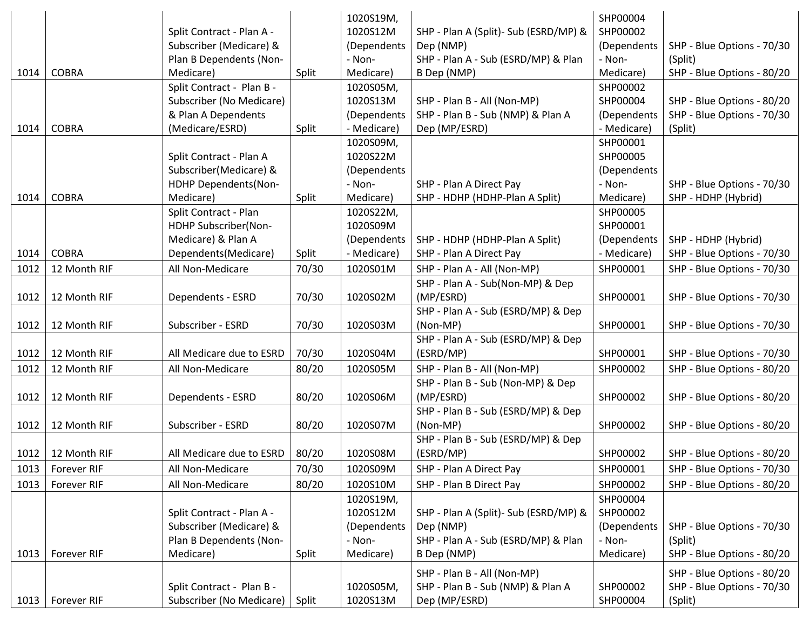|                    |                    |                           |       | 1020S19M,   |                                        | SHP00004    |                            |
|--------------------|--------------------|---------------------------|-------|-------------|----------------------------------------|-------------|----------------------------|
|                    |                    | Split Contract - Plan A - |       | 1020S12M    | SHP - Plan A (Split) - Sub (ESRD/MP) & | SHP00002    |                            |
|                    |                    | Subscriber (Medicare) &   |       | (Dependents | Dep (NMP)                              | (Dependents | SHP - Blue Options - 70/30 |
|                    |                    | Plan B Dependents (Non-   |       | - Non-      | SHP - Plan A - Sub (ESRD/MP) & Plan    | - Non-      | (Split)                    |
| 1014               | <b>COBRA</b>       | Medicare)                 | Split | Medicare)   | B Dep (NMP)                            | Medicare)   | SHP - Blue Options - 80/20 |
|                    |                    | Split Contract - Plan B - |       | 1020S05M,   |                                        | SHP00002    |                            |
|                    |                    | Subscriber (No Medicare)  |       | 1020S13M    | SHP - Plan B - All (Non-MP)            | SHP00004    | SHP - Blue Options - 80/20 |
|                    |                    | & Plan A Dependents       |       | (Dependents | SHP - Plan B - Sub (NMP) & Plan A      | (Dependents | SHP - Blue Options - 70/30 |
| 1014               | <b>COBRA</b>       | (Medicare/ESRD)           | Split | - Medicare) | Dep (MP/ESRD)                          | - Medicare) | (Split)                    |
|                    |                    |                           |       | 1020S09M,   |                                        | SHP00001    |                            |
|                    |                    | Split Contract - Plan A   |       | 1020S22M    |                                        | SHP00005    |                            |
|                    |                    | Subscriber(Medicare) &    |       | (Dependents |                                        | (Dependents |                            |
|                    |                    | HDHP Dependents(Non-      |       | - Non-      | SHP - Plan A Direct Pay                | - Non-      | SHP - Blue Options - 70/30 |
| 1014               | <b>COBRA</b>       | Medicare)                 | Split | Medicare)   | SHP - HDHP (HDHP-Plan A Split)         | Medicare)   | SHP - HDHP (Hybrid)        |
|                    |                    | Split Contract - Plan     |       | 1020S22M,   |                                        | SHP00005    |                            |
|                    |                    | HDHP Subscriber(Non-      |       | 1020S09M    |                                        | SHP00001    |                            |
|                    |                    | Medicare) & Plan A        |       | (Dependents | SHP - HDHP (HDHP-Plan A Split)         | (Dependents | SHP - HDHP (Hybrid)        |
| 1014               | <b>COBRA</b>       | Dependents(Medicare)      | Split | - Medicare) | SHP - Plan A Direct Pay                | - Medicare) | SHP - Blue Options - 70/30 |
| 1012               | 12 Month RIF       | All Non-Medicare          | 70/30 | 1020S01M    | SHP - Plan A - All (Non-MP)            | SHP00001    | SHP - Blue Options - 70/30 |
|                    |                    |                           |       |             | SHP - Plan A - Sub(Non-MP) & Dep       |             |                            |
| 1012               | 12 Month RIF       | Dependents - ESRD         | 70/30 | 1020S02M    | (MP/ESRD)                              | SHP00001    | SHP - Blue Options - 70/30 |
|                    |                    |                           |       |             | SHP - Plan A - Sub (ESRD/MP) & Dep     |             |                            |
| 1012               | 12 Month RIF       | Subscriber - ESRD         | 70/30 | 1020S03M    | (Non-MP)                               | SHP00001    | SHP - Blue Options - 70/30 |
|                    |                    |                           |       |             | SHP - Plan A - Sub (ESRD/MP) & Dep     |             |                            |
| 1012               | 12 Month RIF       | All Medicare due to ESRD  | 70/30 | 1020S04M    | (ESRD/MP)                              | SHP00001    | SHP - Blue Options - 70/30 |
| 1012               | 12 Month RIF       | All Non-Medicare          | 80/20 | 1020S05M    | SHP - Plan B - All (Non-MP)            | SHP00002    | SHP - Blue Options - 80/20 |
|                    |                    |                           |       |             | SHP - Plan B - Sub (Non-MP) & Dep      |             |                            |
| 1012               | 12 Month RIF       | Dependents - ESRD         | 80/20 | 1020S06M    | (MP/ESRD)                              | SHP00002    | SHP - Blue Options - 80/20 |
|                    |                    |                           |       |             | SHP - Plan B - Sub (ESRD/MP) & Dep     |             |                            |
| 1012               | 12 Month RIF       | Subscriber - ESRD         | 80/20 | 1020S07M    | (Non-MP)                               | SHP00002    | SHP - Blue Options - 80/20 |
|                    |                    |                           |       |             | SHP - Plan B - Sub (ESRD/MP) & Dep     |             |                            |
| 1012               | 12 Month RIF       | All Medicare due to ESRD  | 80/20 | 1020S08M    | (ESRD/MP)                              | SHP00002    | SHP - Blue Options - 80/20 |
|                    | 1013   Forever RIF | All Non-Medicare          | 70/30 | 1020S09M    | SHP - Plan A Direct Pay                | SHP00001    | SHP - Blue Options - 70/30 |
| 1013               | Forever RIF        | All Non-Medicare          | 80/20 | 1020S10M    | SHP - Plan B Direct Pay                | SHP00002    | SHP - Blue Options - 80/20 |
|                    |                    |                           |       | 1020S19M,   |                                        | SHP00004    |                            |
|                    |                    | Split Contract - Plan A - |       | 1020S12M    | SHP - Plan A (Split) - Sub (ESRD/MP) & | SHP00002    |                            |
|                    |                    | Subscriber (Medicare) &   |       | (Dependents | Dep (NMP)                              | (Dependents | SHP - Blue Options - 70/30 |
|                    |                    | Plan B Dependents (Non-   |       | - Non-      | SHP - Plan A - Sub (ESRD/MP) & Plan    | - Non-      | (Split)                    |
|                    | 1013   Forever RIF | Medicare)                 | Split | Medicare)   | B Dep (NMP)                            | Medicare)   | SHP - Blue Options - 80/20 |
|                    |                    |                           |       |             | SHP - Plan B - All (Non-MP)            |             | SHP - Blue Options - 80/20 |
|                    |                    | Split Contract - Plan B - |       | 1020S05M,   | SHP - Plan B - Sub (NMP) & Plan A      | SHP00002    | SHP - Blue Options - 70/30 |
| 1013   Forever RIF |                    | Subscriber (No Medicare)  | Split | 1020S13M    | Dep (MP/ESRD)                          | SHP00004    | (Split)                    |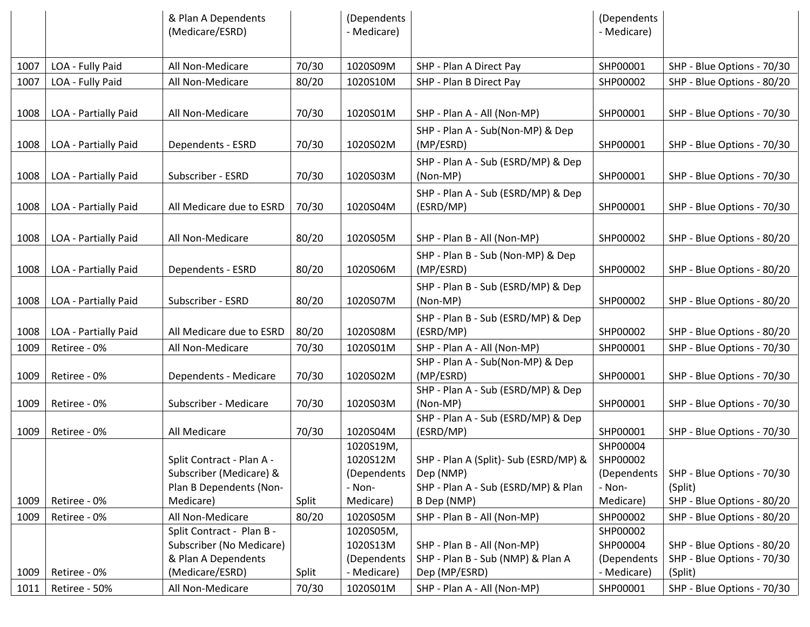|      |                      | & Plan A Dependents<br>(Medicare/ESRD) |       | (Dependents<br>- Medicare) |                                                 | (Dependents<br>- Medicare) |                            |
|------|----------------------|----------------------------------------|-------|----------------------------|-------------------------------------------------|----------------------------|----------------------------|
|      |                      |                                        |       |                            |                                                 |                            |                            |
| 1007 | LOA - Fully Paid     | All Non-Medicare                       | 70/30 | 1020S09M                   | SHP - Plan A Direct Pay                         | SHP00001                   | SHP - Blue Options - 70/30 |
| 1007 | LOA - Fully Paid     | All Non-Medicare                       | 80/20 | 1020S10M                   | SHP - Plan B Direct Pay                         | SHP00002                   | SHP - Blue Options - 80/20 |
|      |                      |                                        |       |                            |                                                 |                            |                            |
| 1008 | LOA - Partially Paid | All Non-Medicare                       | 70/30 | 1020S01M                   | SHP - Plan A - All (Non-MP)                     | SHP00001                   | SHP - Blue Options - 70/30 |
| 1008 | LOA - Partially Paid | Dependents - ESRD                      | 70/30 | 1020S02M                   | SHP - Plan A - Sub(Non-MP) & Dep<br>(MP/ESRD)   | SHP00001                   | SHP - Blue Options - 70/30 |
|      |                      |                                        |       |                            |                                                 |                            |                            |
| 1008 | LOA - Partially Paid | Subscriber - ESRD                      | 70/30 | 1020S03M                   | SHP - Plan A - Sub (ESRD/MP) & Dep<br>(Non-MP)  | SHP00001                   | SHP - Blue Options - 70/30 |
| 1008 | LOA - Partially Paid | All Medicare due to ESRD               | 70/30 | 1020S04M                   | SHP - Plan A - Sub (ESRD/MP) & Dep<br>(ESRD/MP) | SHP00001                   | SHP - Blue Options - 70/30 |
|      |                      |                                        |       |                            |                                                 |                            |                            |
| 1008 | LOA - Partially Paid | All Non-Medicare                       | 80/20 | 1020S05M                   | SHP - Plan B - All (Non-MP)                     | SHP00002                   | SHP - Blue Options - 80/20 |
|      |                      |                                        |       |                            | SHP - Plan B - Sub (Non-MP) & Dep               |                            |                            |
| 1008 | LOA - Partially Paid | Dependents - ESRD                      | 80/20 | 1020S06M                   | (MP/ESRD)                                       | SHP00002                   | SHP - Blue Options - 80/20 |
|      |                      |                                        |       |                            | SHP - Plan B - Sub (ESRD/MP) & Dep              |                            |                            |
| 1008 | LOA - Partially Paid | Subscriber - ESRD                      | 80/20 | 1020S07M                   | (Non-MP)                                        | SHP00002                   | SHP - Blue Options - 80/20 |
|      |                      |                                        |       |                            | SHP - Plan B - Sub (ESRD/MP) & Dep              |                            |                            |
| 1008 | LOA - Partially Paid | All Medicare due to ESRD               | 80/20 | 1020S08M                   | (ESRD/MP)                                       | SHP00002                   | SHP - Blue Options - 80/20 |
| 1009 | Retiree - 0%         | All Non-Medicare                       | 70/30 | 1020S01M                   | SHP - Plan A - All (Non-MP)                     | SHP00001                   | SHP - Blue Options - 70/30 |
|      |                      |                                        |       |                            | SHP - Plan A - Sub(Non-MP) & Dep                |                            |                            |
| 1009 | Retiree - 0%         | Dependents - Medicare                  | 70/30 | 1020S02M                   | (MP/ESRD)                                       | SHP00001                   | SHP - Blue Options - 70/30 |
|      |                      |                                        |       |                            | SHP - Plan A - Sub (ESRD/MP) & Dep              |                            |                            |
| 1009 | Retiree - 0%         | Subscriber - Medicare                  | 70/30 | 1020S03M                   | (Non-MP)                                        | SHP00001                   | SHP - Blue Options - 70/30 |
| 1009 | Retiree - 0%         | All Medicare                           | 70/30 | 1020S04M                   | SHP - Plan A - Sub (ESRD/MP) & Dep              | SHP00001                   | SHP - Blue Options - 70/30 |
|      |                      |                                        |       | 1020S19M,                  | (ESRD/MP)                                       | SHP00004                   |                            |
|      |                      | Split Contract - Plan A -              |       | 1020S12M                   | SHP - Plan A (Split) - Sub (ESRD/MP) &          | SHP00002                   |                            |
|      |                      | Subscriber (Medicare) &                |       | (Dependents                | Dep (NMP)                                       | (Dependents                | SHP - Blue Options - 70/30 |
|      |                      | Plan B Dependents (Non-                |       | - Non-                     | SHP - Plan A - Sub (ESRD/MP) & Plan             | - Non-                     | (Split)                    |
| 1009 | Retiree - 0%         | Medicare)                              | Split | Medicare)                  | B Dep (NMP)                                     | Medicare)                  | SHP - Blue Options - 80/20 |
| 1009 | Retiree - 0%         | All Non-Medicare                       | 80/20 | 1020S05M                   | SHP - Plan B - All (Non-MP)                     | SHP00002                   | SHP - Blue Options - 80/20 |
|      |                      | Split Contract - Plan B -              |       | 1020S05M,                  |                                                 | SHP00002                   |                            |
|      |                      | Subscriber (No Medicare)               |       | 1020S13M                   | SHP - Plan B - All (Non-MP)                     | SHP00004                   | SHP - Blue Options - 80/20 |
|      |                      | & Plan A Dependents                    |       | (Dependents                | SHP - Plan B - Sub (NMP) & Plan A               | (Dependents                | SHP - Blue Options - 70/30 |
| 1009 | Retiree - 0%         | (Medicare/ESRD)                        | Split | - Medicare)                | Dep (MP/ESRD)                                   | - Medicare)                | (Split)                    |
| 1011 | Retiree - 50%        | All Non-Medicare                       | 70/30 | 1020S01M                   | SHP - Plan A - All (Non-MP)                     | SHP00001                   | SHP - Blue Options - 70/30 |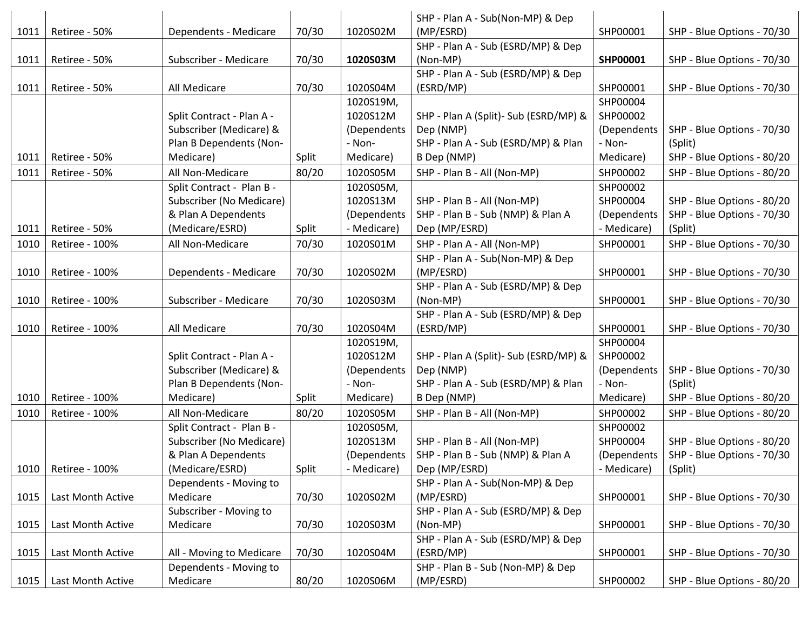|      |                       |                                                       |       |                       | SHP - Plan A - Sub(Non-MP) & Dep                   |                      |                                       |
|------|-----------------------|-------------------------------------------------------|-------|-----------------------|----------------------------------------------------|----------------------|---------------------------------------|
| 1011 | Retiree - 50%         | Dependents - Medicare                                 | 70/30 | 1020S02M              | (MP/ESRD)                                          | SHP00001             | SHP - Blue Options - 70/30            |
|      |                       |                                                       |       |                       | SHP - Plan A - Sub (ESRD/MP) & Dep                 |                      |                                       |
| 1011 | Retiree - 50%         | Subscriber - Medicare                                 | 70/30 | 1020S03M              | (Non-MP)                                           | SHP00001             | SHP - Blue Options - 70/30            |
|      |                       |                                                       |       |                       | SHP - Plan A - Sub (ESRD/MP) & Dep                 |                      |                                       |
| 1011 | Retiree - 50%         | All Medicare                                          | 70/30 | 1020S04M              | (ESRD/MP)                                          | SHP00001             | SHP - Blue Options - 70/30            |
|      |                       |                                                       |       | 1020S19M,             |                                                    | SHP00004             |                                       |
|      |                       | Split Contract - Plan A -                             |       | 1020S12M              | SHP - Plan A (Split) - Sub (ESRD/MP) &             | SHP00002             |                                       |
|      |                       | Subscriber (Medicare) &                               |       | (Dependents           | Dep (NMP)                                          | (Dependents          | SHP - Blue Options - 70/30            |
|      |                       | Plan B Dependents (Non-                               |       | - Non-                | SHP - Plan A - Sub (ESRD/MP) & Plan                | - Non-               | (Split)                               |
| 1011 | Retiree - 50%         | Medicare)                                             | Split | Medicare)             | B Dep (NMP)                                        | Medicare)            | SHP - Blue Options - 80/20            |
| 1011 | Retiree - 50%         | All Non-Medicare                                      | 80/20 | 1020S05M              | SHP - Plan B - All (Non-MP)                        | SHP00002             | SHP - Blue Options - 80/20            |
|      |                       | Split Contract - Plan B -                             |       | 1020S05M,             |                                                    | SHP00002             |                                       |
|      |                       | Subscriber (No Medicare)                              |       | 1020S13M              | SHP - Plan B - All (Non-MP)                        | SHP00004             | SHP - Blue Options - 80/20            |
|      |                       | & Plan A Dependents                                   |       | (Dependents           | SHP - Plan B - Sub (NMP) & Plan A                  | (Dependents          | SHP - Blue Options - 70/30            |
| 1011 | Retiree - 50%         | (Medicare/ESRD)                                       | Split | - Medicare)           | Dep (MP/ESRD)                                      | - Medicare)          | (Split)                               |
| 1010 | <b>Retiree - 100%</b> | All Non-Medicare                                      | 70/30 | 1020S01M              | SHP - Plan A - All (Non-MP)                        | SHP00001             | SHP - Blue Options - 70/30            |
|      |                       |                                                       |       |                       | SHP - Plan A - Sub(Non-MP) & Dep                   |                      |                                       |
| 1010 | Retiree - 100%        | Dependents - Medicare                                 | 70/30 | 1020S02M              | (MP/ESRD)                                          | SHP00001             | SHP - Blue Options - 70/30            |
|      |                       |                                                       |       |                       | SHP - Plan A - Sub (ESRD/MP) & Dep                 |                      |                                       |
| 1010 | Retiree - 100%        | Subscriber - Medicare                                 | 70/30 | 1020S03M              | (Non-MP)                                           | SHP00001             | SHP - Blue Options - 70/30            |
|      |                       |                                                       |       |                       | SHP - Plan A - Sub (ESRD/MP) & Dep                 |                      |                                       |
| 1010 | Retiree - 100%        | All Medicare                                          | 70/30 | 1020S04M              | (ESRD/MP)                                          | SHP00001             | SHP - Blue Options - 70/30            |
|      |                       |                                                       |       | 1020S19M,             |                                                    | SHP00004             |                                       |
|      |                       | Split Contract - Plan A -                             |       | 1020S12M              | SHP - Plan A (Split) - Sub (ESRD/MP) &             | SHP00002             |                                       |
|      |                       | Subscriber (Medicare) &                               |       | (Dependents           | Dep (NMP)                                          | (Dependents          | SHP - Blue Options - 70/30            |
| 1010 | Retiree - 100%        | Plan B Dependents (Non-<br>Medicare)                  | Split | - Non-<br>Medicare)   | SHP - Plan A - Sub (ESRD/MP) & Plan<br>B Dep (NMP) | - Non-<br>Medicare)  | (Split)<br>SHP - Blue Options - 80/20 |
|      |                       | All Non-Medicare                                      |       |                       |                                                    | SHP00002             |                                       |
| 1010 | Retiree - 100%        |                                                       | 80/20 | 1020S05M              | SHP - Plan B - All (Non-MP)                        |                      | SHP - Blue Options - 80/20            |
|      |                       | Split Contract - Plan B -<br>Subscriber (No Medicare) |       | 1020S05M,<br>1020S13M | SHP - Plan B - All (Non-MP)                        | SHP00002<br>SHP00004 | SHP - Blue Options - 80/20            |
|      |                       | & Plan A Dependents                                   |       | (Dependents           | SHP - Plan B - Sub (NMP) & Plan A                  | (Dependents          | SHP - Blue Options - 70/30            |
| 1010 | Retiree - 100%        | (Medicare/ESRD)                                       | Split | - Medicare)           | Dep (MP/ESRD)                                      | - Medicare)          | (Split)                               |
|      |                       | Dependents - Moving to                                |       |                       | SHP - Plan A - Sub(Non-MP) & Dep                   |                      |                                       |
| 1015 | Last Month Active     | Medicare                                              | 70/30 | 1020S02M              | (MP/ESRD)                                          | SHP00001             | SHP - Blue Options - 70/30            |
|      |                       | Subscriber - Moving to                                |       |                       | SHP - Plan A - Sub (ESRD/MP) & Dep                 |                      |                                       |
| 1015 | Last Month Active     | Medicare                                              | 70/30 | 1020S03M              | (Non-MP)                                           | SHP00001             | SHP - Blue Options - 70/30            |
|      |                       |                                                       |       |                       | SHP - Plan A - Sub (ESRD/MP) & Dep                 |                      |                                       |
| 1015 | Last Month Active     | All - Moving to Medicare                              | 70/30 | 1020S04M              | (ESRD/MP)                                          | SHP00001             | SHP - Blue Options - 70/30            |
|      |                       | Dependents - Moving to                                |       |                       | SHP - Plan B - Sub (Non-MP) & Dep                  |                      |                                       |
| 1015 | Last Month Active     | Medicare                                              | 80/20 | 1020S06M              | (MP/ESRD)                                          | SHP00002             | SHP - Blue Options - 80/20            |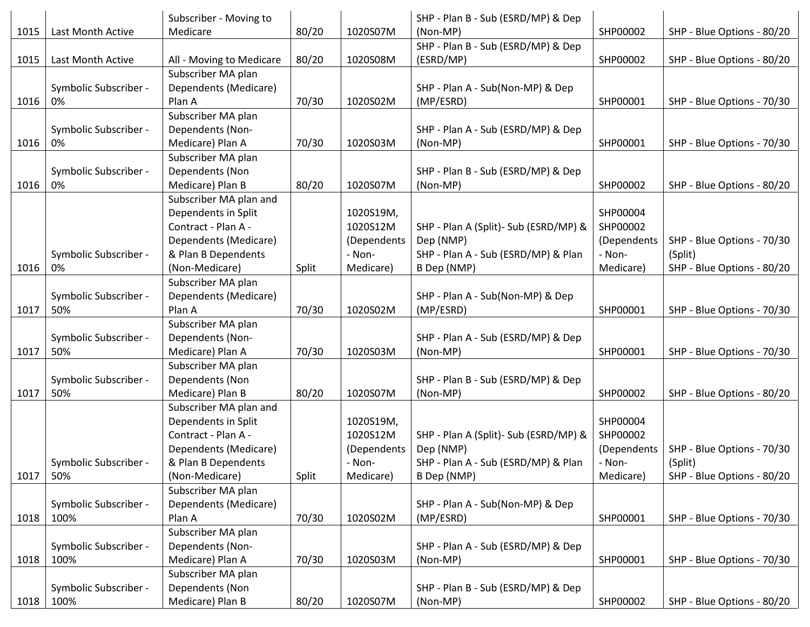|      |                       | Subscriber - Moving to   |       |             | SHP - Plan B - Sub (ESRD/MP) & Dep     |             |                            |
|------|-----------------------|--------------------------|-------|-------------|----------------------------------------|-------------|----------------------------|
| 1015 | Last Month Active     | Medicare                 | 80/20 | 1020S07M    | (Non-MP)                               | SHP00002    | SHP - Blue Options - 80/20 |
|      |                       |                          |       |             | SHP - Plan B - Sub (ESRD/MP) & Dep     |             |                            |
| 1015 | Last Month Active     | All - Moving to Medicare | 80/20 | 1020S08M    | (ESRD/MP)                              | SHP00002    | SHP - Blue Options - 80/20 |
|      |                       | Subscriber MA plan       |       |             |                                        |             |                            |
|      | Symbolic Subscriber - | Dependents (Medicare)    |       |             | SHP - Plan A - Sub(Non-MP) & Dep       |             |                            |
| 1016 | 0%                    | Plan A                   | 70/30 | 1020S02M    | (MP/ESRD)                              | SHP00001    | SHP - Blue Options - 70/30 |
|      |                       | Subscriber MA plan       |       |             |                                        |             |                            |
|      | Symbolic Subscriber - | Dependents (Non-         |       |             | SHP - Plan A - Sub (ESRD/MP) & Dep     |             |                            |
| 1016 | 0%                    | Medicare) Plan A         | 70/30 | 1020S03M    | (Non-MP)                               | SHP00001    | SHP - Blue Options - 70/30 |
|      |                       | Subscriber MA plan       |       |             |                                        |             |                            |
|      | Symbolic Subscriber - | Dependents (Non          |       |             | SHP - Plan B - Sub (ESRD/MP) & Dep     |             |                            |
| 1016 | 0%                    | Medicare) Plan B         | 80/20 | 1020S07M    | (Non-MP)                               | SHP00002    | SHP - Blue Options - 80/20 |
|      |                       | Subscriber MA plan and   |       |             |                                        |             |                            |
|      |                       | Dependents in Split      |       | 1020S19M,   |                                        | SHP00004    |                            |
|      |                       | Contract - Plan A -      |       | 1020S12M    | SHP - Plan A (Split) - Sub (ESRD/MP) & | SHP00002    |                            |
|      |                       | Dependents (Medicare)    |       | (Dependents | Dep (NMP)                              | (Dependents | SHP - Blue Options - 70/30 |
|      | Symbolic Subscriber - | & Plan B Dependents      |       | - Non-      | SHP - Plan A - Sub (ESRD/MP) & Plan    | - Non-      | (Split)                    |
| 1016 | 0%                    | (Non-Medicare)           | Split | Medicare)   | B Dep (NMP)                            | Medicare)   | SHP - Blue Options - 80/20 |
|      |                       | Subscriber MA plan       |       |             |                                        |             |                            |
|      | Symbolic Subscriber - | Dependents (Medicare)    |       |             | SHP - Plan A - Sub(Non-MP) & Dep       |             |                            |
| 1017 | 50%                   | Plan A                   | 70/30 | 1020S02M    | (MP/ESRD)                              | SHP00001    | SHP - Blue Options - 70/30 |
|      |                       | Subscriber MA plan       |       |             |                                        |             |                            |
|      | Symbolic Subscriber - | Dependents (Non-         |       |             | SHP - Plan A - Sub (ESRD/MP) & Dep     |             |                            |
| 1017 | 50%                   | Medicare) Plan A         | 70/30 | 1020S03M    | (Non-MP)                               | SHP00001    | SHP - Blue Options - 70/30 |
|      |                       | Subscriber MA plan       |       |             |                                        |             |                            |
|      | Symbolic Subscriber - | Dependents (Non          |       |             | SHP - Plan B - Sub (ESRD/MP) & Dep     |             |                            |
| 1017 | 50%                   | Medicare) Plan B         | 80/20 | 1020S07M    | (Non-MP)                               | SHP00002    | SHP - Blue Options - 80/20 |
|      |                       | Subscriber MA plan and   |       |             |                                        |             |                            |
|      |                       | Dependents in Split      |       | 1020S19M,   |                                        | SHP00004    |                            |
|      |                       | Contract - Plan A -      |       | 1020S12M    | SHP - Plan A (Split)- Sub (ESRD/MP) &  | SHP00002    |                            |
|      |                       | Dependents (Medicare)    |       | (Dependents | Dep (NMP)                              | (Dependents | SHP - Blue Options - 70/30 |
|      | Symbolic Subscriber - | & Plan B Dependents      |       | - Non-      | SHP - Plan A - Sub (ESRD/MP) & Plan    | - Non-      | (Split)                    |
| 1017 | 50%                   | (Non-Medicare)           | Split | Medicare)   | B Dep (NMP)                            | Medicare)   | SHP - Blue Options - 80/20 |
|      |                       | Subscriber MA plan       |       |             |                                        |             |                            |
|      | Symbolic Subscriber - | Dependents (Medicare)    |       |             | SHP - Plan A - Sub(Non-MP) & Dep       |             |                            |
| 1018 | 100%                  | Plan A                   | 70/30 | 1020S02M    | (MP/ESRD)                              | SHP00001    | SHP - Blue Options - 70/30 |
|      |                       | Subscriber MA plan       |       |             |                                        |             |                            |
|      | Symbolic Subscriber - | Dependents (Non-         |       |             | SHP - Plan A - Sub (ESRD/MP) & Dep     |             |                            |
| 1018 | 100%                  | Medicare) Plan A         | 70/30 | 1020S03M    | (Non-MP)                               | SHP00001    | SHP - Blue Options - 70/30 |
|      |                       | Subscriber MA plan       |       |             |                                        |             |                            |
|      | Symbolic Subscriber - | Dependents (Non          |       |             | SHP - Plan B - Sub (ESRD/MP) & Dep     |             |                            |
| 1018 | 100%                  | Medicare) Plan B         | 80/20 | 1020S07M    | (Non-MP)                               | SHP00002    | SHP - Blue Options - 80/20 |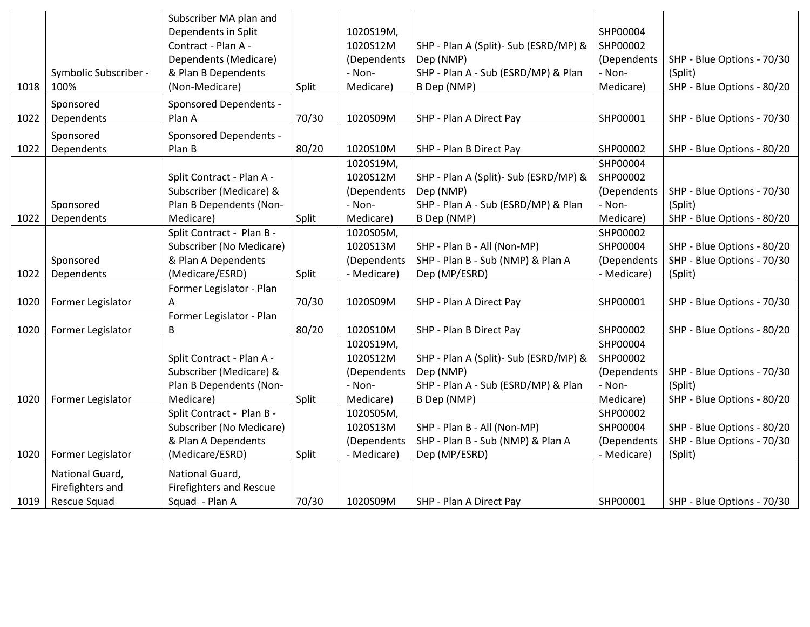|      | Symbolic Subscriber -                               | Subscriber MA plan and<br>Dependents in Split<br>Contract - Plan A -<br>Dependents (Medicare)<br>& Plan B Dependents |       | 1020S19M,<br>1020S12M<br>(Dependents<br>- Non-      | SHP - Plan A (Split)- Sub (ESRD/MP) &<br>Dep (NMP)<br>SHP - Plan A - Sub (ESRD/MP) & Plan  | SHP00004<br>SHP00002<br>(Dependents<br>- Non-      | SHP - Blue Options - 70/30<br>(Split)                               |
|------|-----------------------------------------------------|----------------------------------------------------------------------------------------------------------------------|-------|-----------------------------------------------------|--------------------------------------------------------------------------------------------|----------------------------------------------------|---------------------------------------------------------------------|
| 1018 | 100%                                                | (Non-Medicare)                                                                                                       | Split | Medicare)                                           | B Dep (NMP)                                                                                | Medicare)                                          | SHP - Blue Options - 80/20                                          |
| 1022 | Sponsored<br>Dependents                             | <b>Sponsored Dependents -</b><br>Plan A                                                                              | 70/30 | 1020S09M                                            | SHP - Plan A Direct Pay                                                                    | SHP00001                                           | SHP - Blue Options - 70/30                                          |
| 1022 | Sponsored<br>Dependents                             | Sponsored Dependents -<br>Plan B                                                                                     | 80/20 | 1020S10M                                            | SHP - Plan B Direct Pay                                                                    | SHP00002                                           | SHP - Blue Options - 80/20                                          |
|      |                                                     | Split Contract - Plan A -<br>Subscriber (Medicare) &                                                                 |       | 1020S19M,<br>1020S12M<br>(Dependents                | SHP - Plan A (Split)- Sub (ESRD/MP) &<br>Dep (NMP)                                         | SHP00004<br>SHP00002<br>(Dependents                | SHP - Blue Options - 70/30                                          |
| 1022 | Sponsored<br>Dependents                             | Plan B Dependents (Non-<br>Medicare)                                                                                 | Split | - Non-<br>Medicare)                                 | SHP - Plan A - Sub (ESRD/MP) & Plan<br>B Dep (NMP)                                         | - Non-<br>Medicare)                                | (Split)<br>SHP - Blue Options - 80/20                               |
|      | Sponsored                                           | Split Contract - Plan B -<br>Subscriber (No Medicare)<br>& Plan A Dependents                                         |       | 1020S05M,<br>1020S13M<br>(Dependents                | SHP - Plan B - All (Non-MP)<br>SHP - Plan B - Sub (NMP) & Plan A                           | SHP00002<br>SHP00004<br>(Dependents                | SHP - Blue Options - 80/20<br>SHP - Blue Options - 70/30            |
| 1022 | Dependents                                          | (Medicare/ESRD)                                                                                                      | Split | - Medicare)                                         | Dep (MP/ESRD)                                                                              | - Medicare)                                        | (Split)                                                             |
| 1020 | Former Legislator                                   | Former Legislator - Plan<br>Α<br>Former Legislator - Plan                                                            | 70/30 | 1020S09M                                            | SHP - Plan A Direct Pay                                                                    | SHP00001                                           | SHP - Blue Options - 70/30                                          |
| 1020 | Former Legislator                                   | B                                                                                                                    | 80/20 | 1020S10M                                            | SHP - Plan B Direct Pay                                                                    | SHP00002                                           | SHP - Blue Options - 80/20                                          |
|      |                                                     | Split Contract - Plan A -<br>Subscriber (Medicare) &<br>Plan B Dependents (Non-                                      |       | 1020S19M,<br>1020S12M<br>(Dependents<br>- Non-      | SHP - Plan A (Split) - Sub (ESRD/MP) &<br>Dep (NMP)<br>SHP - Plan A - Sub (ESRD/MP) & Plan | SHP00004<br>SHP00002<br>(Dependents<br>- Non-      | SHP - Blue Options - 70/30<br>(Split)                               |
| 1020 | Former Legislator                                   | Medicare)                                                                                                            | Split | Medicare)                                           | B Dep (NMP)                                                                                | Medicare)                                          | SHP - Blue Options - 80/20                                          |
| 1020 | Former Legislator                                   | Split Contract - Plan B -<br>Subscriber (No Medicare)<br>& Plan A Dependents<br>(Medicare/ESRD)                      | Split | 1020S05M,<br>1020S13M<br>(Dependents<br>- Medicare) | SHP - Plan B - All (Non-MP)<br>SHP - Plan B - Sub (NMP) & Plan A<br>Dep (MP/ESRD)          | SHP00002<br>SHP00004<br>(Dependents<br>- Medicare) | SHP - Blue Options - 80/20<br>SHP - Blue Options - 70/30<br>(Split) |
| 1019 | National Guard,<br>Firefighters and<br>Rescue Squad | National Guard,<br><b>Firefighters and Rescue</b><br>Squad - Plan A                                                  | 70/30 | 1020S09M                                            | SHP - Plan A Direct Pay                                                                    | SHP00001                                           | SHP - Blue Options - 70/30                                          |